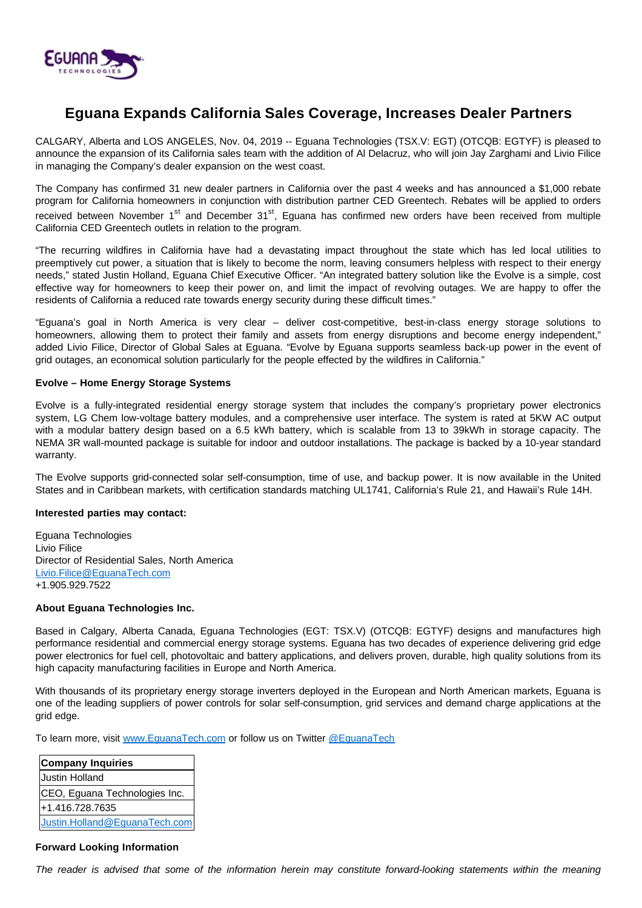

# **Eguana Expands California Sales Coverage, Increases Dealer Partners**

CALGARY, Alberta and LOS ANGELES, Nov. 04, 2019 -- Eguana Technologies (TSX.V: EGT) (OTCQB: EGTYF) is pleased to announce the expansion of its California sales team with the addition of Al Delacruz, who will join Jay Zarghami and Livio Filice in managing the Company's dealer expansion on the west coast.

The Company has confirmed 31 new dealer partners in California over the past 4 weeks and has announced a \$1,000 rebate program for California homeowners in conjunction with distribution partner CED Greentech. Rebates will be applied to orders received between November 1<sup>st</sup> and December 31<sup>st</sup>, Equana has confirmed new orders have been received from multiple California CED Greentech outlets in relation to the program.

"The recurring wildfires in California have had a devastating impact throughout the state which has led local utilities to preemptively cut power, a situation that is likely to become the norm, leaving consumers helpless with respect to their energy needs," stated Justin Holland, Eguana Chief Executive Officer. "An integrated battery solution like the Evolve is a simple, cost effective way for homeowners to keep their power on, and limit the impact of revolving outages. We are happy to offer the residents of California a reduced rate towards energy security during these difficult times."

"Eguana's goal in North America is very clear – deliver cost-competitive, best-in-class energy storage solutions to homeowners, allowing them to protect their family and assets from energy disruptions and become energy independent," added Livio Filice, Director of Global Sales at Eguana. "Evolve by Eguana supports seamless back-up power in the event of grid outages, an economical solution particularly for the people effected by the wildfires in California."

## **Evolve – Home Energy Storage Systems**

Evolve is a fully-integrated residential energy storage system that includes the company's proprietary power electronics system, LG Chem low-voltage battery modules, and a comprehensive user interface. The system is rated at 5KW AC output with a modular battery design based on a 6.5 kWh battery, which is scalable from 13 to 39kWh in storage capacity. The NEMA 3R wall-mounted package is suitable for indoor and outdoor installations. The package is backed by a 10-year standard warranty.

The Evolve supports grid-connected solar self-consumption, time of use, and backup power. It is now available in the United States and in Caribbean markets, with certification standards matching UL1741, California's Rule 21, and Hawaii's Rule 14H.

### **Interested parties may contact:**

Eguana Technologies Livio Filice Director of Residential Sales, North America [Livio.Filice@EguanaTech.com](mailto:Livio.Filice@EguanaTech.com) +1.905.929.7522

### **About Eguana Technologies Inc.**

Based in Calgary, Alberta Canada, Eguana Technologies (EGT: TSX.V) (OTCQB: EGTYF) designs and manufactures high performance residential and commercial energy storage systems. Eguana has two decades of experience delivering grid edge power electronics for fuel cell, photovoltaic and battery applications, and delivers proven, durable, high quality solutions from its high capacity manufacturing facilities in Europe and North America.

With thousands of its proprietary energy storage inverters deployed in the European and North American markets, Eguana is one of the leading suppliers of power controls for solar self-consumption, grid services and demand charge applications at the grid edge.

To learn more, visit [www.EguanaTech.com](http://www.eguanatech.com/) or follow us on Twitter [@EguanaTech](https://twitter.com/EguanaTech)

| <b>Company Inquiries</b>      |
|-------------------------------|
| <b>Justin Holland</b>         |
| CEO, Eguana Technologies Inc. |
| +1.416.728.7635               |
| Justin.Holland@EguanaTech.com |

### **Forward Looking Information**

The reader is advised that some of the information herein may constitute forward-looking statements within the meaning